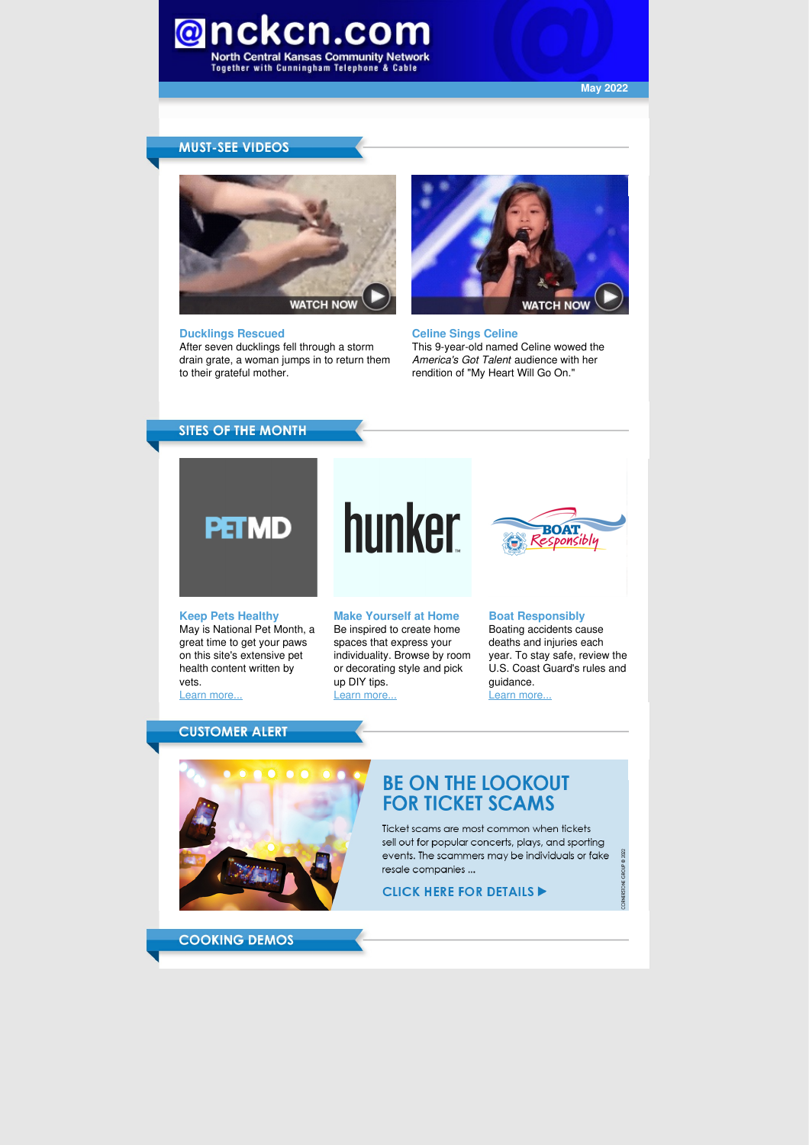

**May 2022**

#### **MUST-SEE VIDEOS**



#### **Ducklings Rescued**

After seven ducklings fell through a storm drain grate, a woman jumps in to return them to their grateful mother.



**Celine Sings Celine** This 9-year-old named Celine wowed the *America's Got Talent* audience with her rendition of "My Heart Will Go On."

### **SITES OF THE MONTH**



# hunker



#### **Keep Pets Healthy** May is National Pet Month, a

great time to get your paws on this site's extensive pet health content written by vets.

Learn [more...](https://www.petmd.com/)

**Make Yourself at Home** Be inspired to create home spaces that express your individuality. Browse by room or decorating style and pick up DIY tips. Learn [more...](https://www.hunker.com/)

#### **Boat Responsibly** Boating accidents cause deaths and injuries each year. To stay safe, review the U.S. Coast Guard's rules and guidance.

2022

Learn [more...](https://www.uscgboating.org/)

#### **CUSTOMER ALERT**



## **BE ON THE LOOKOUT FOR TICKET SCAMS**

Ticket scams are most common when tickets sell out for popular concerts, plays, and sporting events. The scammers may be individuals or fake resale companies ...

#### **CLICK HERE FOR DETAILS >**

**COOKING DEMOS**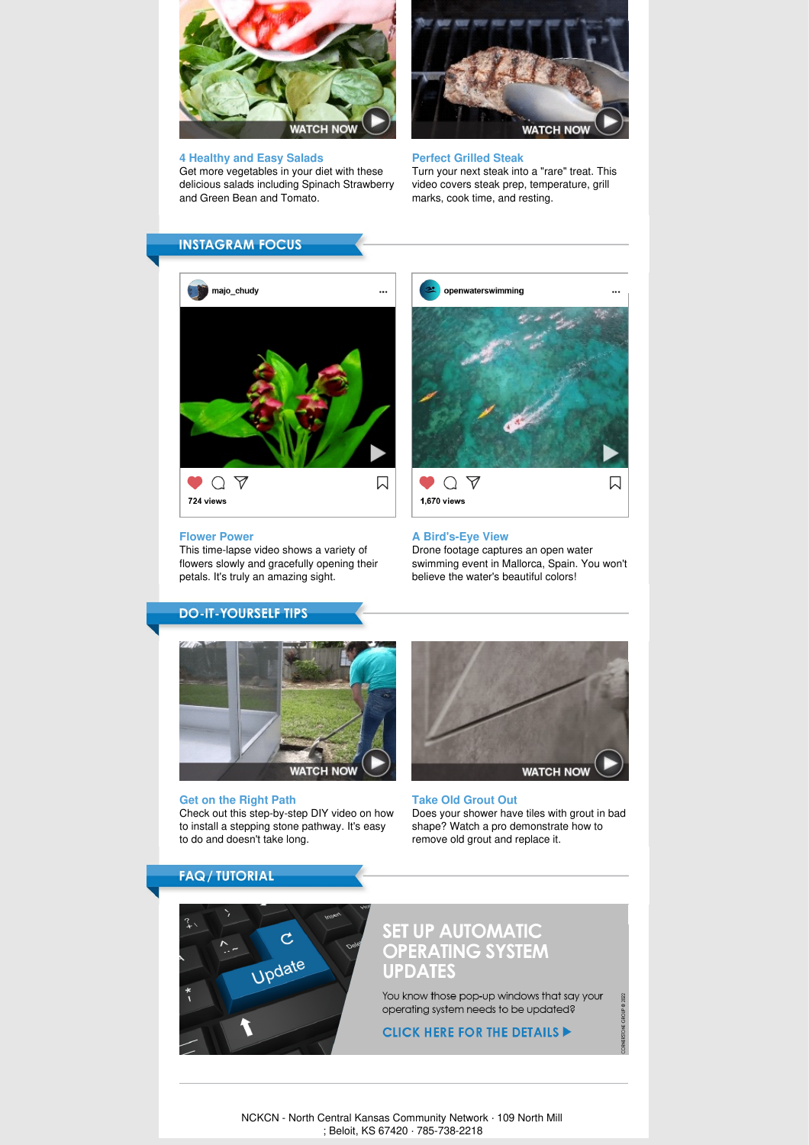

#### **4 Healthy and Easy Salads**

Get more vegetables in your diet with these delicious salads including Spinach Strawberry and Green Bean and Tomato.



#### **Perfect Grilled Steak**

Turn your next steak into a "rare" treat. This video covers steak prep, temperature, grill marks, cook time, and resting.

#### **INSTAGRAM FOCUS**



#### **Flower Power**

**DO-IT-YOURSELF TIPS** 

This time-lapse video shows a variety of flowers slowly and gracefully opening their petals. It's truly an amazing sight.



#### **A Bird's-Eye View**

Drone footage captures an open water swimming event in Mallorca, Spain. You won't believe the water's beautiful colors!



#### **Get on the Right Path** Check out this step-by-step DIY video on how to install a stepping stone pathway. It's easy



**Take Old Grout Out** Does your shower have tiles with grout in bad shape? Watch a pro demonstrate how to remove old grout and replace it.

**FAQ / TUTORIAL** 

to do and doesn't take long.



# SET UP AUTOMATIC<br>OPERATING SYSTEM **UPDATES**

You know those pop-up windows that say your operating system needs to be updated?

**CLICK HERE FOR THE DETAILS DETAILS** 

NCKCN - North Central Kansas Community Network · 109 North Mill ; Beloit, KS 67420 · 785-738-2218